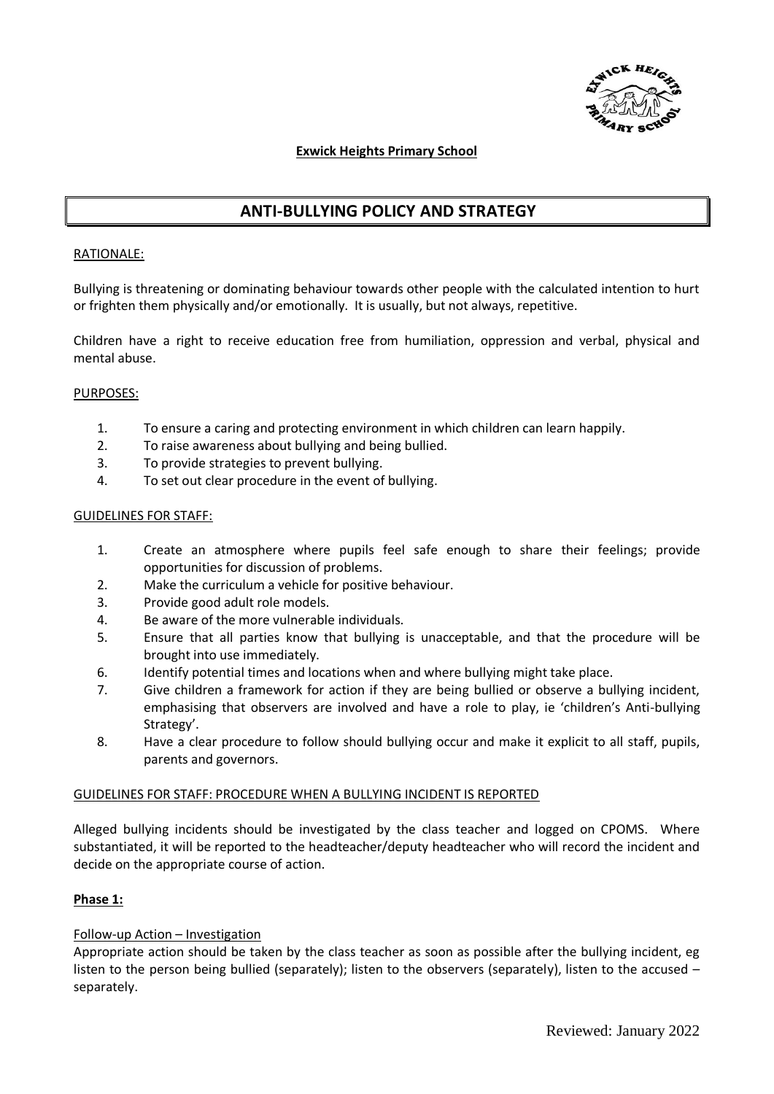

## **Exwick Heights Primary School**

# **ANTI-BULLYING POLICY AND STRATEGY**

#### RATIONALE:

Bullying is threatening or dominating behaviour towards other people with the calculated intention to hurt or frighten them physically and/or emotionally. It is usually, but not always, repetitive.

Children have a right to receive education free from humiliation, oppression and verbal, physical and mental abuse.

## PURPOSES:

- 1. To ensure a caring and protecting environment in which children can learn happily.
- 2. To raise awareness about bullying and being bullied.
- 3. To provide strategies to prevent bullying.
- 4. To set out clear procedure in the event of bullying.

#### GUIDELINES FOR STAFF:

- 1. Create an atmosphere where pupils feel safe enough to share their feelings; provide opportunities for discussion of problems.
- 2. Make the curriculum a vehicle for positive behaviour.
- 3. Provide good adult role models.
- 4. Be aware of the more vulnerable individuals.
- 5. Ensure that all parties know that bullying is unacceptable, and that the procedure will be brought into use immediately.
- 6. Identify potential times and locations when and where bullying might take place.
- 7. Give children a framework for action if they are being bullied or observe a bullying incident, emphasising that observers are involved and have a role to play, ie 'children's Anti-bullying Strategy'.
- 8. Have a clear procedure to follow should bullying occur and make it explicit to all staff, pupils, parents and governors.

## GUIDELINES FOR STAFF: PROCEDURE WHEN A BULLYING INCIDENT IS REPORTED

Alleged bullying incidents should be investigated by the class teacher and logged on CPOMS. Where substantiated, it will be reported to the headteacher/deputy headteacher who will record the incident and decide on the appropriate course of action.

## **Phase 1:**

## Follow-up Action – Investigation

Appropriate action should be taken by the class teacher as soon as possible after the bullying incident, eg listen to the person being bullied (separately); listen to the observers (separately), listen to the accused – separately.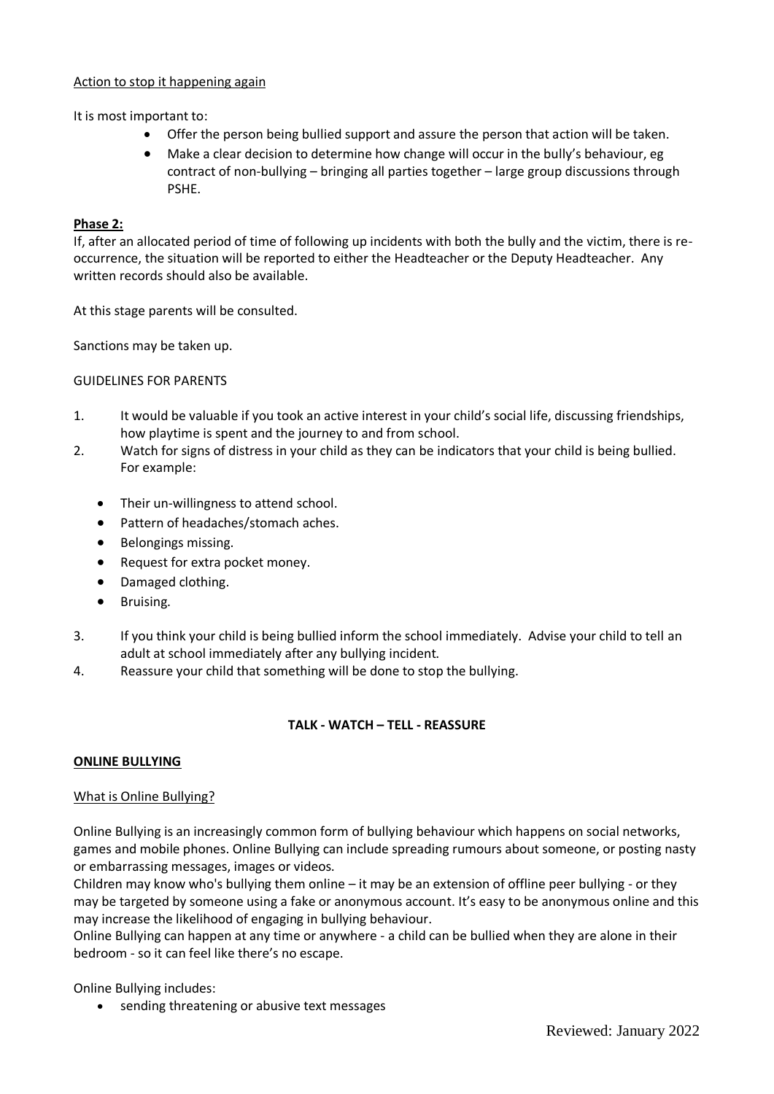## Action to stop it happening again

It is most important to:

- Offer the person being bullied support and assure the person that action will be taken.
- Make a clear decision to determine how change will occur in the bully's behaviour, eg contract of non-bullying – bringing all parties together – large group discussions through PSHE.

## **Phase 2:**

If, after an allocated period of time of following up incidents with both the bully and the victim, there is reoccurrence, the situation will be reported to either the Headteacher or the Deputy Headteacher. Any written records should also be available.

At this stage parents will be consulted.

Sanctions may be taken up.

GUIDELINES FOR PARENTS

- 1. It would be valuable if you took an active interest in your child's social life, discussing friendships, how playtime is spent and the journey to and from school.
- 2. Watch for signs of distress in your child as they can be indicators that your child is being bullied. For example:
	- Their un-willingness to attend school.
	- Pattern of headaches/stomach aches.
	- Belongings missing.
	- Request for extra pocket money.
	- Damaged clothing.
	- Bruising.
- 3. If you think your child is being bullied inform the school immediately. Advise your child to tell an adult at school immediately after any bullying incident.
- 4. Reassure your child that something will be done to stop the bullying.

# **TALK - WATCH – TELL - REASSURE**

## **ONLINE BULLYING**

## What is Online Bullying?

Online Bullying is an increasingly common form of bullying behaviour which happens on social networks, games and mobile phones. Online Bullying can include spreading rumours about someone, or posting nasty or embarrassing messages, images or videos.

Children may know who's bullying them online – it may be an extension of offline peer bullying - or they may be targeted by someone using a fake or anonymous account. It's easy to be anonymous online and this may increase the likelihood of engaging in bullying behaviour.

Online Bullying can happen at any time or anywhere - a child can be bullied when they are alone in their bedroom - so it can feel like there's no escape.

Online Bullying includes:

• sending threatening or abusive text messages